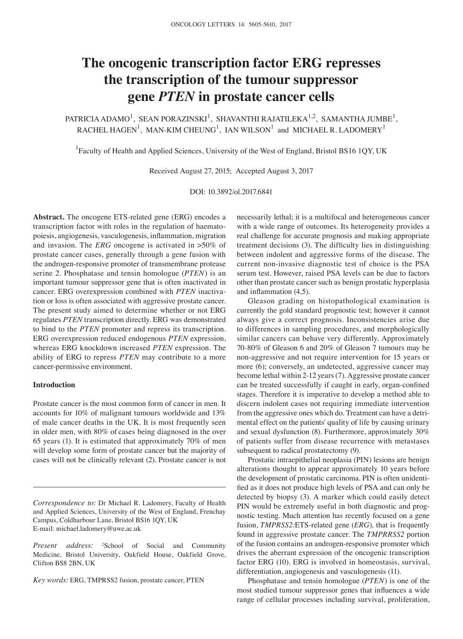# **The oncogenic transcription factor ERG represses the transcription of the tumour suppressor gene** *PTEN* **in prostate cancer cells**

PATRICIA ADAMO<sup>1</sup>, SEAN PORAZINSKI<sup>1</sup>, SHAVANTHI RAJATILEKA<sup>1,2</sup>, SAMANTHA JUMBE<sup>1</sup>, RACHEL HAGEN $^1$ , MAN-KIM CHEUNG $^1$ , IAN WILSON $^1$  and MICHAEL R. LADOMERY $^1$ 

<sup>1</sup>Faculty of Health and Applied Sciences, University of the West of England, Bristol BS16 1QY, UK

Received August 27, 2015; Accepted August 3, 2017

DOI: 10.3892/ol.2017.6841

**Abstract.** The oncogene ETS-related gene (ERG) encodes a transcription factor with roles in the regulation of haematopoiesis, angiogenesis, vasculogenesis, inflammation, migration and invasion. The *ERG* oncogene is activated in >50% of prostate cancer cases, generally through a gene fusion with the androgen-responsive promoter of transmembrane protease serine 2. Phosphatase and tensin homologue (*PTEN*) is an important tumour suppressor gene that is often inactivated in cancer. ERG overexpression combined with *PTEN* inactivation or loss is often associated with aggressive prostate cancer. The present study aimed to determine whether or not ERG regulates *PTEN* transcription directly. ERG was demonstrated to bind to the *PTEN* promoter and repress its transcription. ERG overexpression reduced endogenous *PTEN* expression, whereas ERG knockdown increased *PTEN* expression. The ability of ERG to repress *PTEN* may contribute to a more cancer-permissive environment.

## **Introduction**

Prostate cancer is the most common form of cancer in men. It accounts for 10% of malignant tumours worldwide and 13% of male cancer deaths in the UK. It is most frequently seen in older men, with 80% of cases being diagnosed in the over 65 years (1). It is estimated that approximately 70% of men will develop some form of prostate cancer but the majority of cases will not be clinically relevant (2). Prostate cancer is not

*Key words:* ERG, TMPRSS2 fusion, prostate cancer, PTEN

necessarily lethal; it is a multifocal and heterogeneous cancer with a wide range of outcomes. Its heterogeneity provides a real challenge for accurate prognosis and making appropriate treatment decisions (3). The difficulty lies in distinguishing between indolent and aggressive forms of the disease. The current non-invasive diagnostic test of choice is the PSA serum test. However, raised PSA levels can be due to factors other than prostate cancer such as benign prostatic hyperplasia and inflammation (4,5).

Gleason grading on histopathological examination is currently the gold standard prognostic test; however it cannot always give a correct prognosis. Inconsistencies arise due to differences in sampling procedures, and morphologically similar cancers can behave very differently. Approximately 70-80% of Gleason 6 and 20% of Gleason 7 tumours may be non-aggressive and not require intervention for 15 years or more (6); conversely, an undetected, aggressive cancer may become lethal within 2-12 years(7). Aggressive prostate cancer can be treated successfully if caught in early, organ-confined stages. Therefore it is imperative to develop a method able to discern indolent cases not requiring immediate intervention from the aggressive ones which do. Treatment can have a detrimental effect on the patients' quality of life by causing urinary and sexual dysfunction (8). Furthermore, approximately 30% of patients suffer from disease recurrence with metastases subsequent to radical prostatectomy (9).

Prostatic intraepithelial neoplasia (PIN) lesions are benign alterations thought to appear approximately 10 years before the development of prostatic carcinoma. PIN is often unidentified as it does not produce high levels of PSA and can only be detected by biopsy (3). A marker which could easily detect PIN would be extremely useful in both diagnostic and prognostic testing. Much attention has recently focused on a gene fusion, *TMPRSS2:*ETS-related gene (*ERG*)*,* that is frequently found in aggressive prostate cancer. The *TMPRRSS2* portion of the fusion contains an androgen-responsive promoter which drives the aberrant expression of the oncogenic transcription factor ERG (10). ERG is involved in homeostasis, survival, differentiation, angiogenesis and vasculogenesis (11).

Phosphatase and tensin homologue (*PTEN*) is one of the most studied tumour suppressor genes that influences a wide range of cellular processes including survival, proliferation,

*Correspondence to:* Dr Michael R. Ladomery, Faculty of Health and Applied Sciences, University of the West of England, Frenchay Campus, Coldharbour Lane, Bristol BS16 1QY, UK E-mail: michael.ladomery@uwe.ac.uk

Present address: <sup>2</sup>School of Social and Community Medicine, Bristol University, Oakfield House, Oakfield Grove, Clifton BS8 2BN, UK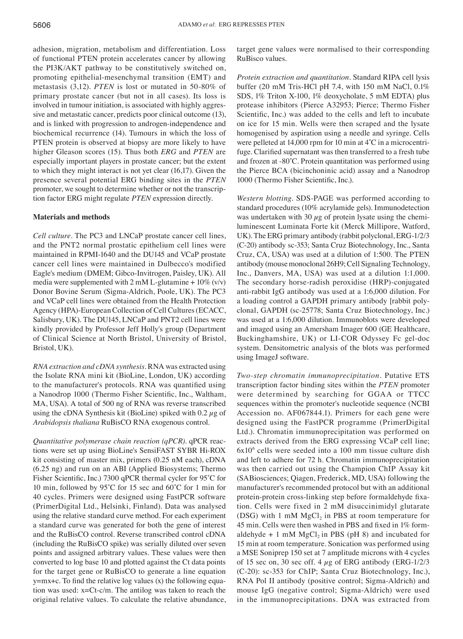adhesion, migration, metabolism and differentiation. Loss of functional PTEN protein accelerates cancer by allowing the PI3K/AKT pathway to be constitutively switched on, promoting epithelial-mesenchymal transition (EMT) and metastasis (3,12). *PTEN* is lost or mutated in 50-80% of primary prostate cancer (but not in all cases). Its loss is involved in tumour initiation, is associated with highly aggressive and metastatic cancer, predicts poor clinical outcome (13), and is linked with progression to androgen-independence and biochemical recurrence (14). Tumours in which the loss of PTEN protein is observed at biopsy are more likely to have higher Gleason scores (15). Thus both *ERG* and *PTEN* are especially important players in prostate cancer; but the extent to which they might interact is not yet clear (16,17). Given the presence several potential ERG binding sites in the *PTEN* promoter, we sought to determine whether or not the transcription factor ERG might regulate *PTEN* expression directly.

# **Materials and methods**

*Cell culture.* The PC3 and LNCaP prostate cancer cell lines, and the PNT2 normal prostatic epithelium cell lines were maintained in RPMI-1640 and the DU145 and VCaP prostate cancer cell lines were maintained in Dulbecco's modified Eagle's medium (DMEM; Gibco-Invitrogen, Paisley, UK). All media were supplemented with 2 mM L-glutamine +  $10\%$  (v/v) Donor Bovine Serum (Sigma-Aldrich, Poole, UK). The PC3 and VCaP cell lines were obtained from the Health Protection Agency (HPA)-European Collection of Cell Cultures (ECACC, Salisbury, UK). The DU145, LNCaP and PNT2 cell lines were kindly provided by Professor Jeff Holly's group (Department of Clinical Science at North Bristol, University of Bristol, Bristol, UK).

*RNA extraction and cDNA synthesis.* RNA was extracted using the Isolate RNA mini kit (BioLine, London, UK) according to the manufacturer's protocols. RNA was quantified using a Nanodrop 1000 (Thermo Fisher Scientific, Inc., Waltham, MA, USA). A total of 500 ng of RNA was reverse transcribed using the cDNA Synthesis kit (BioLine) spiked with  $0.2 \mu$ g of *Arabidopsis thaliana* RuBisCO RNA exogenous control.

*Quantitative polymerase chain reaction (qPCR).* qPCR reactions were set up using BioLine's SensiFAST SYBR Hi-ROX kit consisting of master mix, primers (0.25 nM each), cDNA (6.25 ng) and run on an ABI (Applied Biosystems; Thermo Fisher Scientific, Inc.) 7300 qPCR thermal cycler for 95˚C for 10 min, followed by 95˚C for 15 sec and 60˚C for 1 min for 40 cycles. Primers were designed using FastPCR software (PrimerDigital Ltd., Helsinki, Finland). Data was analysed using the relative standard curve method. For each experiment a standard curve was generated for both the gene of interest and the RuBisCO control. Reverse transcribed control cDNA (including the RuBisCO spike) was serially diluted over seven points and assigned arbitrary values. These values were then converted to log base 10 and plotted against the Ct data points for the target gene or RuBisCO to generate a line equation  $y=mx+c$ . To find the relative log values  $(x)$  the following equation was used: x=Ct-c/m. The antilog was taken to reach the original relative values. To calculate the relative abundance, target gene values were normalised to their corresponding RuBisco values.

*Protein extraction and quantitation.* Standard RIPA cell lysis buffer (20 mM Tris-HCl pH 7.4, with 150 mM NaCl, 0.1% SDS, 1% Triton X-100, 1% deoxycholate, 5 mM EDTA) plus protease inhibitors (Pierce A32953; Pierce; Thermo Fisher Scientific, Inc.) was added to the cells and left to incubate on ice for 15 min. Wells were then scraped and the lysate homogenised by aspiration using a needle and syringe. Cells were pelleted at 14,000 rpm for 10 min at 4˚C in a microcentrifuge. Clarified supernatant was then transferred to a fresh tube and frozen at -80˚C. Protein quantitation was performed using the Pierce BCA (bicinchoninic acid) assay and a Nanodrop 1000 (Thermo Fisher Scientific, Inc.).

*Western blotting.* SDS-PAGE was performed according to standard procedures (10% acrylamide gels). Immunodetection was undertaken with 30  $\mu$ g of protein lysate using the chemiluminescent Luminata Forte kit (Merck Millipore, Watford, UK). The ERG primary antibody (rabbit polyclonal, ERG-1/2/3 (C-20) antibody sc-353; Santa Cruz Biotechnology, Inc., Santa Cruz, CA, USA) was used at a dilution of 1:500. The PTEN antibody (mouse monoclonal 26H9; Cell Signaling Technology, Inc., Danvers, MA, USA) was used at a dilution 1:1,000. The secondary horse-radish peroxidise (HRP)-conjugated anti-rabbit IgG antibody was used at a 1:6,000 dilution. For a loading control a GAPDH primary antibody [rabbit polyclonal, GAPDH (sc-25778; Santa Cruz Biotechnology, Inc.) was used at a 1:6,000 dilution. Immunoblots were developed and imaged using an Amersham Imager 600 (GE Healthcare, Buckinghamshire, UK) or LI-COR Odyssey Fc gel-doc system. Densitometric analysis of the blots was performed using ImageJ software.

*Two‑step chromatin immunoprecipitation.* Putative ETS transcription factor binding sites within the *PTEN* promoter were determined by searching for GGAA or TTCC sequences within the promoter's nucleotide sequence (NCBI Accession no. AF067844.1). Primers for each gene were designed using the FastPCR programme (PrimerDigital Ltd.). Chromatin immunoprecipitation was performed on extracts derived from the ERG expressing VCaP cell line;  $6x10<sup>6</sup>$  cells were seeded into a 100 mm tissue culture dish and left to adhere for 72 h. Chromatin immunoprecipitation was then carried out using the Champion ChIP Assay kit (SABiosciences; Qiagen, Frederick, MD, USA) following the manufacturer's recommended protocol but with an additional protein‑protein cross‑linking step before formaldehyde fixation. Cells were fixed in 2 mM disuccinimidyl glutarate (DSG) with 1 mM  $MgCl<sub>2</sub>$  in PBS at room temperature for 45 min. Cells were then washed in PBS and fixed in 1% formaldehyde + 1 mM  $MgCl<sub>2</sub>$  in PBS (pH 8) and incubated for 15 min at room temperature. Sonication was performed using a MSE Soniprep 150 set at 7 amplitude microns with 4 cycles of 15 sec on, 30 sec off. 4  $\mu$ g of ERG antibody (ERG-1/2/3 (C-20): sc-353 for ChIP; Santa Cruz Biotechnology, Inc.), RNA Pol II antibody (positive control; Sigma-Aldrich) and mouse IgG (negative control; Sigma-Aldrich) were used in the immunoprecipitations. DNA was extracted from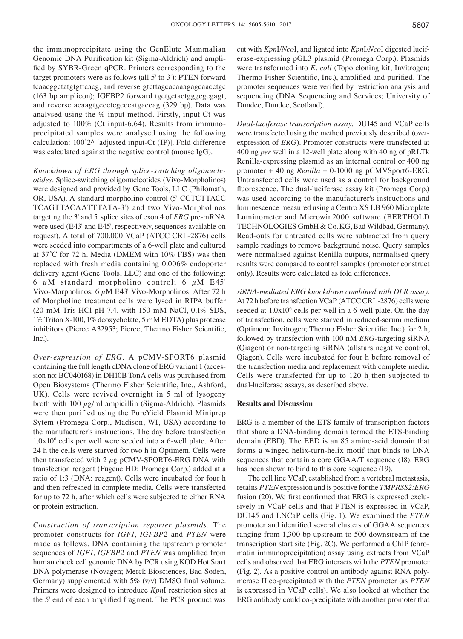the immunoprecipitate using the GenElute Mammalian Genomic DNA Purification kit (Sigma-Aldrich) and amplified by SYBR-Green qPCR. Primers corresponding to the target promoters were as follows (all 5' to 3'): PTEN forward tcaacggctatgtgttcacg, and reverse gtcttagcacaaagagcaacctgc (163 bp amplicon); IGFBP2 forward tgctgctactgggcgcgagt, and reverse acaagtgccctcgcccatgaccag (329 bp). Data was analysed using the % input method. Firstly, input Ct was adjusted to 100% (Ct input-6.64). Results from immunoprecipitated samples were analysed using the following calculation: 100\* 2^ [adjusted input-Ct (IP)]. Fold difference was calculated against the negative control (mouse IgG).

*Knockdown of ERG through splice‑switching oligonucle‑ otides.* Splice-switching oligonucleotides (Vivo-Morpholinos) were designed and provided by Gene Tools, LLC (Philomath, OR, USA). A standard morpholino control (5'-CCTCTTACC TCAGTTACAATTTATA-3') and two Vivo-Morpholinos targeting the 3' and 5' splice sites of exon 4 of *ERG* pre-mRNA were used (E43' and E45', respectively, sequences available on request). A total of 700,000 VCaP (ATCC CRL-2876) cells were seeded into compartments of a 6-well plate and cultured at 37˚C for 72 h. Media (DMEM with 10% FBS) was then replaced with fresh media containing 0.006% endoporter delivery agent (Gene Tools, LLC) and one of the following: 6  $\mu$ M standard morpholino control; 6  $\mu$ M E45' Vivo-Morpholinos; 6  $\mu$ M E43' Vivo-Morpholinos. After 72 h of Morpholino treatment cells were lysed in RIPA buffer (20 mM Tris-HCl pH 7.4, with 150 mM NaCl, 0.1% SDS, 1% Triton X-100, 1% deoxycholate, 5 mM EDTA) plus protease inhibitors (Pierce A32953; Pierce; Thermo Fisher Scientific, Inc.).

*Over‑expression of ERG.* A pCMV-SPORT6 plasmid containing the full length cDNA clone of ERG variant 1 (accession no: BC040168) in DH10B TonA cells was purchased from Open Biosystems (Thermo Fisher Scientific, Inc., Ashford, UK). Cells were revived overnight in 5 ml of lysogeny broth with 100  $\mu$ g/ml ampicillin (Sigma-Aldrich). Plasmids were then purified using the PureYield Plasmid Miniprep Sytem (Promega Corp., Madison, WI, USA) according to the manufacturer's instructions. The day before transfection 1.0x106 cells per well were seeded into a 6-well plate. After 24 h the cells were starved for two h in Optimem. Cells were then transfected with  $2 \mu$ g pCMV-SPORT6-ERG DNA with transfection reagent (Fugene HD; Promega Corp.) added at a ratio of 1:3 (DNA: reagent). Cells were incubated for four h and then refreshed in complete media. Cells were transfected for up to 72 h, after which cells were subjected to either RNA or protein extraction.

*Construction of transcription reporter plasmids.* The promoter constructs for *IGF1*, *IGFBP2* and *PTEN* were made as follows. DNA containing the upstream promoter sequences of *IGF1*, *IGFBP2* and *PTEN* was amplified from human cheek cell genomic DNA by PCR using KOD Hot Start DNA polymerase (Novagen; Merck Biosciences, Bad Soden, Germany) supplemented with 5% (v/v) DMSO final volume. Primers were designed to introduce *Kpn*I restriction sites at the 5' end of each amplified fragment. The PCR product was cut with *Kpn*I/*Nco*I, and ligated into *Kpn*I/*Nco*I digested luciferase-expressing pGL3 plasmid (Promega Corp.). Plasmids were transformed into *E. coli* (Topo cloning kit; Invitrogen; Thermo Fisher Scientific, Inc.), amplified and purified. The promoter sequences were verified by restriction analysis and sequencing (DNA Sequencing and Services; University of Dundee, Dundee, Scotland).

*Dual‑luciferase transcription assay.* DU145 and VCaP cells were transfected using the method previously described (overexpression of *ERG*). Promoter constructs were transfected at 400 ng *per* well in a 12-well plate along with 40 ng of pRLTk Renilla-expressing plasmid as an internal control or 400 ng promoter + 40 ng *Renilla* + 0-1000 ng pCMVSport6-ERG. Untransfected cells were used as a control for background fluorescence. The dual-luciferase assay kit (Promega Corp.) was used according to the manufacturer's instructions and luminescence measured using a Centro XS LB 960 Microplate Luminometer and Microwin2000 software (BERTHOLD TECHNOLOGIES GmbH & Co. KG, Bad Wildbad, Germany). Read-outs for untreated cells were subtracted from query sample readings to remove background noise. Query samples were normalised against Renilla outputs, normalised query results were compared to control samples (promoter construct only). Results were calculated as fold differences.

*siRNA‑mediated ERG knockdown combined with DLR assay.*  At 72 h before transfection VCaP (ATCC CRL-2876) cells were seeded at  $1.0x10<sup>6</sup>$  cells per well in a 6-well plate. On the day of transfection, cells were starved in reduced-serum medium (Optimem; Invitrogen; Thermo Fisher Scientific, Inc.) for 2 h, followed by transfection with 100 nM *ERG*-targeting siRNA (Qiagen) or non-targeting siRNA (allstars negative control, Qiagen). Cells were incubated for four h before removal of the transfection media and replacement with complete media. Cells were transfected for up to 120 h then subjected to dual-luciferase assays, as described above.

### **Results and Discussion**

ERG is a member of the ETS family of transcription factors that share a DNA-binding domain termed the ETS-binding domain (EBD). The EBD is an 85 amino-acid domain that forms a winged helix-turn-helix motif that binds to DNA sequences that contain a core GGAA/T sequence (18). ERG has been shown to bind to this core sequence (19).

The cell line VCaP, established from a vertebral metastasis, retains *PTEN* expression and is positive for the *TMPRSS2:ERG* fusion (20). We first confirmed that ERG is expressed exclusively in VCaP cells and that PTEN is expressed in VCaP, DU145 and LNCaP cells (Fig. 1). We examined the *PTEN* promoter and identified several clusters of GGAA sequences ranging from 1,300 bp upstream to 500 downstream of the transcription start site (Fig. 2C). We performed a ChIP (chromatin immunoprecipitation) assay using extracts from VCaP cells and observed that ERG interacts with the *PTEN* promoter (Fig. 2). As a positive control an antibody against RNA polymerase II co-precipitated with the *PTEN* promoter (as *PTEN* is expressed in VCaP cells). We also looked at whether the ERG antibody could co-precipitate with another promoter that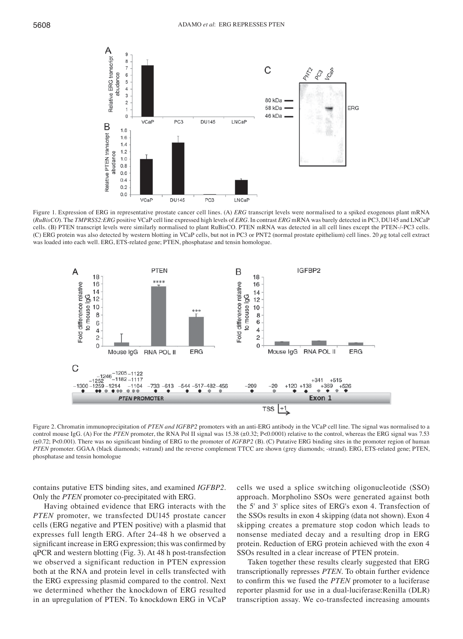

Figure 1. Expression of ERG in representative prostate cancer cell lines. (A) *ERG* transcript levels were normalised to a spiked exogenous plant mRNA (*RuBisCO*). The *TMPRSS2:ERG* positive VCaP cell line expressed high levels of *ERG*. In contrast *ERG* mRNA was barely detected in PC3, DU145 and LNCaP cells. (B) PTEN transcript levels were similarly normalised to plant RuBisCO. PTEN mRNA was detected in all cell lines except the PTEN-/-PC3 cells. (C) ERG protein was also detected by western blotting in VCaP cells, but not in PC3 or PNT2 (normal prostate epithelium) cell lines. 20 µg total cell extract was loaded into each well. ERG, ETS-related gene; PTEN, phosphatase and tensin homologue.



Figure 2. Chromatin immunoprecipitation of *PTEN and IGFBP2* promoters with an anti-ERG antibody in the VCaP cell line. The signal was normalised to a control mouse IgG. (A) For the *PTEN* promoter, the RNA Pol II signal was 15.38 (±0.32; P<0.0001) relative to the control, whereas the ERG signal was 7.53 (±0.72; P<0.001). There was no significant binding of ERG to the promoter of *IGFBP2* (B). (C) Putative ERG binding sites in the promoter region of human *PTEN* promoter. GGAA (black diamonds; +strand) and the reverse complement TTCC are shown (grey diamonds; -strand). ERG, ETS-related gene; PTEN, phosphatase and tensin homologue

contains putative ETS binding sites, and examined *IGFBP2*. Only the *PTEN* promoter co-precipitated with ERG.

Having obtained evidence that ERG interacts with the *PTEN* promoter, we transfected DU145 prostate cancer cells (ERG negative and PTEN positive) with a plasmid that expresses full length ERG. After 24-48 h we observed a significant increase in ERG expression; this was confirmed by qPCR and western blotting (Fig. 3). At 48 h post-transfection we observed a significant reduction in PTEN expression both at the RNA and protein level in cells transfected with the ERG expressing plasmid compared to the control. Next we determined whether the knockdown of ERG resulted in an upregulation of PTEN. To knockdown ERG in VCaP cells we used a splice switching oligonucleotide (SSO) approach. Morpholino SSOs were generated against both the 5' and 3' splice sites of ERG's exon 4. Transfection of the SSOs results in exon 4 skipping (data not shown). Exon 4 skipping creates a premature stop codon which leads to nonsense mediated decay and a resulting drop in ERG protein. Reduction of ERG protein achieved with the exon 4 SSOs resulted in a clear increase of PTEN protein.

Taken together these results clearly suggested that ERG transcriptionally represses *PTEN*. To obtain further evidence to confirm this we fused the *PTEN* promoter to a luciferase reporter plasmid for use in a dual-luciferase:Renilla (DLR) transcription assay. We co-transfected increasing amounts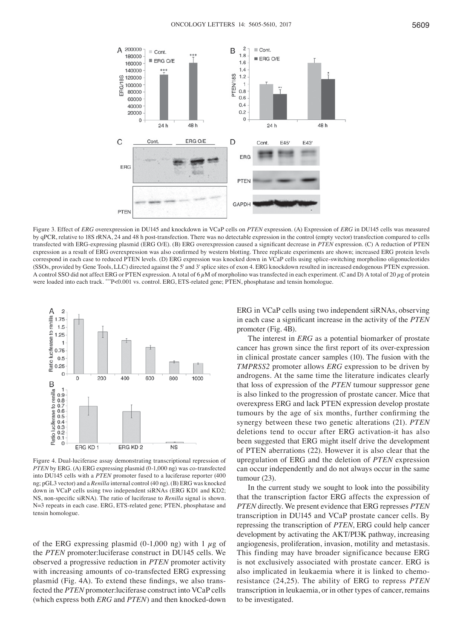

Figure 3. Effect of *ERG* overexpression in DU145 and knockdown in VCaP cells on *PTEN* expression. (A) Expression of *ERG* in DU145 cells was measured by qPCR, relative to 18S rRNA, 24 and 48 h post-transfection. There was no detectable expression in the control (empty vector) transfection compared to cells transfected with ERG‑expressing plasmid (ERG O/E). (B) ERG overexpression caused a significant decrease in *PTEN* expression. (C) A reduction of PTEN expression as a result of ERG overexpression was also confirmed by western blotting. Three replicate experiments are shown; increased ERG protein levels correspond in each case to reduced PTEN levels. (D) ERG expression was knocked down in VCaP cells using splice-switching morpholino oligonucleotides (SSOs, provided by Gene Tools, LLC) directed against the 5' and 3' splice sites of exon 4. ERG knockdown resulted in increased endogenous PTEN expression. A control SSO did not affect ERG or PTEN expression. A total of  $6 \mu$ M of morpholino was transfected in each experiment. (C and D) A total of 20  $\mu$ g of protein were loaded into each track. \*\*\*P<0.001 vs. control. ERG, ETS-related gene; PTEN, phosphatase and tensin homologue.



Figure 4. Dual-luciferase assay demonstrating transcriptional repression of *PTEN* by ERG. (A) ERG expressing plasmid (0-1,000 ng) was co-transfected into DU145 cells with a *PTEN* promoter fused to a luciferase reporter (400 ng; pGL3 vector) and a *Renilla* internal control (40 ng). (B) ERG was knocked down in VCaP cells using two independent siRNAs (ERG KD1 and KD2; NS, non‑specific siRNA). The ratio of luciferase to *Renilla* signal is shown. N=3 repeats in each case. ERG, ETS-related gene; PTEN, phosphatase and tensin homologue.

of the ERG expressing plasmid (0-1,000 ng) with 1  $\mu$ g of the *PTEN* promoter:luciferase construct in DU145 cells. We observed a progressive reduction in *PTEN* promoter activity with increasing amounts of co-transfected ERG expressing plasmid (Fig. 4A). To extend these findings, we also transfected the *PTEN* promoter:luciferase construct into VCaP cells (which express both *ERG* and *PTEN*) and then knocked-down ERG in VCaP cells using two independent siRNAs, observing in each case a significant increase in the activity of the *PTEN* promoter (Fig. 4B).

The interest in *ERG* as a potential biomarker of prostate cancer has grown since the first report of its over-expression in clinical prostate cancer samples (10). The fusion with the *TMPRSS2* promoter allows *ERG* expression to be driven by androgens. At the same time the literature indicates clearly that loss of expression of the *PTEN* tumour suppressor gene is also linked to the progression of prostate cancer. Mice that overexpress ERG and lack PTEN expression develop prostate tumours by the age of six months, further confirming the synergy between these two genetic alterations (21). *PTEN* deletions tend to occur after ERG activation-it has also been suggested that ERG might itself drive the development of PTEN aberrations (22). However it is also clear that the upregulation of ERG and the deletion of *PTEN* expression can occur independently and do not always occur in the same tumour (23).

In the current study we sought to look into the possibility that the transcription factor ERG affects the expression of *PTEN* directly. We present evidence that ERG represses *PTEN* transcription in DU145 and VCaP prostate cancer cells. By repressing the transcription of *PTEN*, ERG could help cancer development by activating the AKT/PI3K pathway, increasing angiogenesis, proliferation, invasion, motility and metastasis. This finding may have broader significance because ERG is not exclusively associated with prostate cancer. ERG is also implicated in leukaemia where it is linked to chemoresistance (24,25). The ability of ERG to repress *PTEN* transcription in leukaemia, or in other types of cancer, remains to be investigated.